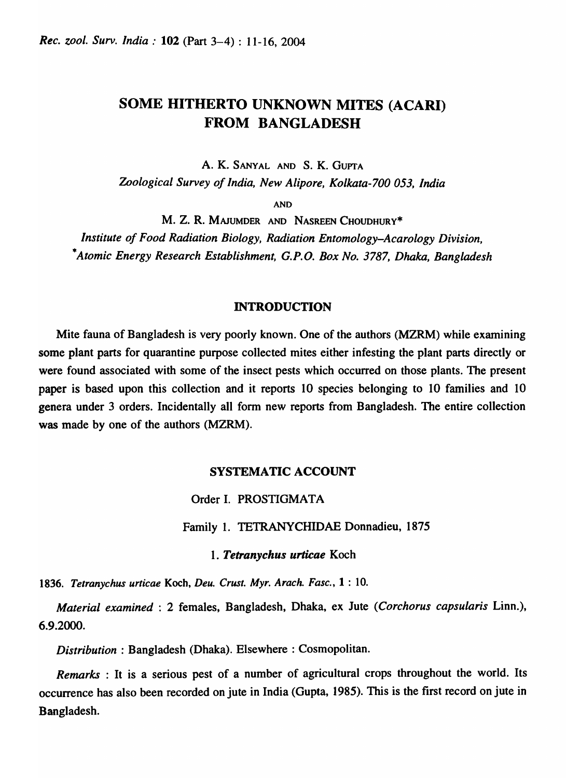# SOME HITHERTO UNKNOWN MITES (ACARI) FROM BANGLADESH

A. K. SANYAL AND S. K. GUPTA

*Zoological Survey of India, New Alipore, Kolkata-700 053, India* 

AND

M. Z. R. MAJUMDER AND NASREEN CHOUDHURY\* *Institute of Food Radiation Biology, Radiation Entomology-Acarology Division, \*Atomic Energy Research Establishment, G.P.O. Box No.* 3787, *Dhaka, Bangladesh* 

### INTRODUCTION

Mite fauna of Bangladesh is very poorly known. One of the authors (MZRM) while examining some plant parts for quarantine purpose collected mites either infesting the plant parts directly or were found associated with some of the insect pests which occurred on those plants. The present paper is based upon this collection and it reports 10 species belonging to 10 families and 10 genera under 3 orders. Incidentally all fonn new reports from Bangladesh. The entire collection was made by one of the authors (MZRM).

## SYSTEMATIC ACCOUNT

Order I. PROSTIGMATA

Family 1. TETRANYCHIDAE Donnadieu, 1875

*1. Tetranychus urticae* Koch

*1836. Tetranychus urticae* Koch, *Deu. Crust. Myr. Arach. Fasc.,* 1 : 10.

*Material examined* : 2 females, Bangladesh, Dhaka, ex Jute *(Corchorus capsularis* Linn.), 6.9.2000.

*Distribution*: Bangladesh (Dhaka). Elsewhere: Cosmopolitan.

*Remarks* : It is a serious pest of a number of agricultural crops throughout the world. Its occurrence has also been recorded on jute in India (Gupta, 1985). This is the first record on jute in Bangladesh.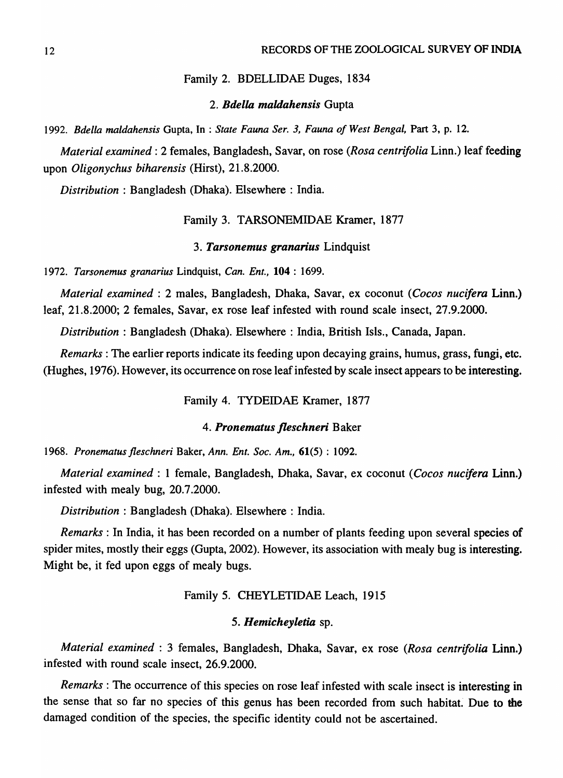### Family 2. BDELLIDAE Duges, 1834

### *2. Bdella maldahensis* Gupta

*1992. Bdella maldahensis* Gupta, In : *State Fauna Ser.* 3, *Fauna of West Bengal,* Part 3, p. 12.

*Material examined:* 2 females, Bangladesh, Sayar, on rose *(Rosa centrifolia* Linn.) leaf feeding upon *Oligonychus biharensis* (Hirst), 21.8.2000.

*Distribution* : Bangladesh (Dhaka). Elsewhere: India.

### Family 3. TARSONEMIDAE Kramer, 1877

### *3. Tarsonemus granarius* Lindquist

*1972. Tarsonemus granarius* Lindquist, *Can. Ent.,* 104 : 1699.

*Material examined* : 2 males, Bangladesh, Dhaka, Sayar, ex coconut *(Cocos nucifera* Linn.) leaf, 21.8.2000; 2 females, Sayar, ex rose leaf infested with round scale insect, 27.9.2000.

*Distribution:* Bangladesh (Dhaka). Elsewhere: India, British IsIs., Canada, Japan.

*Remarks:* The earlier reports indicate its feeding upon decaying grains, humus, grass, fungi, etc. (Hughes, 1976). However, its occurrence on rose leaf infested by scale insect appears to be interesting.

Family 4. TYDEIDAE Kramer, 1877

### *4. Pronematus fleschneri* Baker

*1968. Pronematus fleschneri* Baker, *Ann. Ent. Soc. Am.,* 61(5) : 1092.

*Material examined:* 1 female, Bangladesh, Dhaka, Sayar, ex coconut *(Cocos nucifera* Linn.) infested with mealy bug, 20.7.2000.

*Distribution:* Bangladesh (Dhaka). Elsewhere: India.

*Remarks* : In India, it has been recorded on a number of plants feeding upon several species of spider mites, mostly their eggs (Gupta, 2002). However, its association with mealy bug is interesting. Might be, it fed upon eggs of mealy bugs.

### Family 5. CHEYLETIDAE Leach, 1915

### *5. Hemicheyletia* sp.

*Material examined:* 3 females, Bangladesh, Dhaka, Sayar, ex rose *(Rosa centrifolia* Linn.) infested with round scale insect, 26.9.2000.

*Remarks* : The occurrence of this species on rose leaf infested with scale insect is interesting in the sense that so far no species of this genus has been recorded from such habitat. Due to the damaged condition of the species, the specific identity could not be ascertained.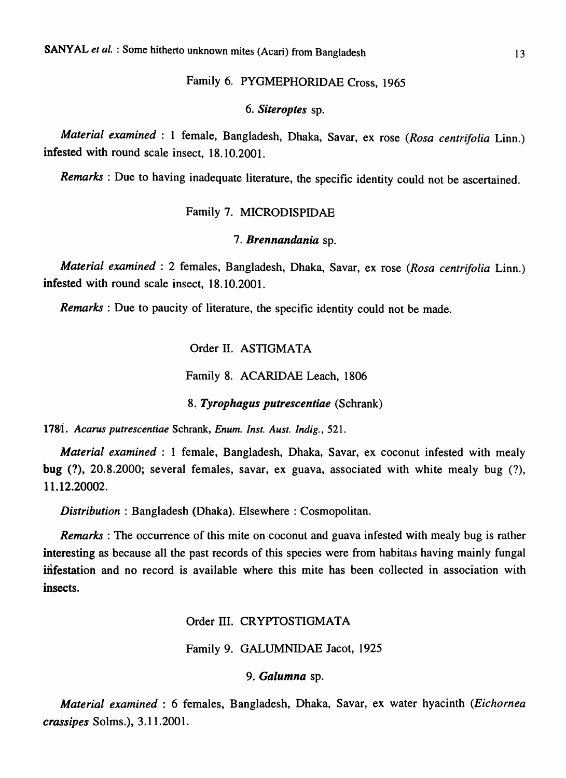## Family 6. PYGMEPHORIDAE Cross, 1965

### *6. Siteroptes* sp.

*Material examined:* 1 female, Bangladesh, Dhaka, Savar, ex rose *(Rosa centrifolia* Linn.) infested with round scale insect, 18.10.2001.

*Remarks:* Due to having inadequate literature, the specific identity could not be ascertained.

## Family 7. MICRODISPIDAE

### *7. Brennandania* sp.

*Material examined:* 2 females, Bangladesh, Dhaka, Savar, ex rose *(Rosa centrifolia* Linn.) infested with round scale insect, 18.10.2001.

*Remarks* : Due to paucity of literature, the specific identity could not be made.

Order II. ASTIGMATA

Family 8. ACARIDAE Leach, 1806

8. *Tyrophagus putrescentiae* (Schrank)

*1781. Acarus putrescentiae* Schrank, *Enum. Inst. Aust. Indig., 521.* 

*Material examined* : 1 female, Bangladesh, Dhaka, Savar, ex coconut infested with mealy bug (?), 20.8.2000; several females, savar, ex guava, associated with white mealy bug (?), 11.12.20002.

*Distribution: Bangladesh (Dhaka). Elsewhere: Cosmopolitan.* 

*Remarks*: The occurrence of this mite on coconut and guava infested with mealy bug is rather interesting as because all the past records of this species were from habitats having mainly fungal infestation and no record is available where this mite has been collected in association with insects.

Order III. CRYPTOSTIGMATA

Family 9. GALUMNIDAE Jacot, 1925

9. *Galumna* sp.

*Material examined* : 6 females, Bangladesh, Dhaka, Savar, ex water hyacinth *(Eichornea crassipes* Solms.), 3.11.2001.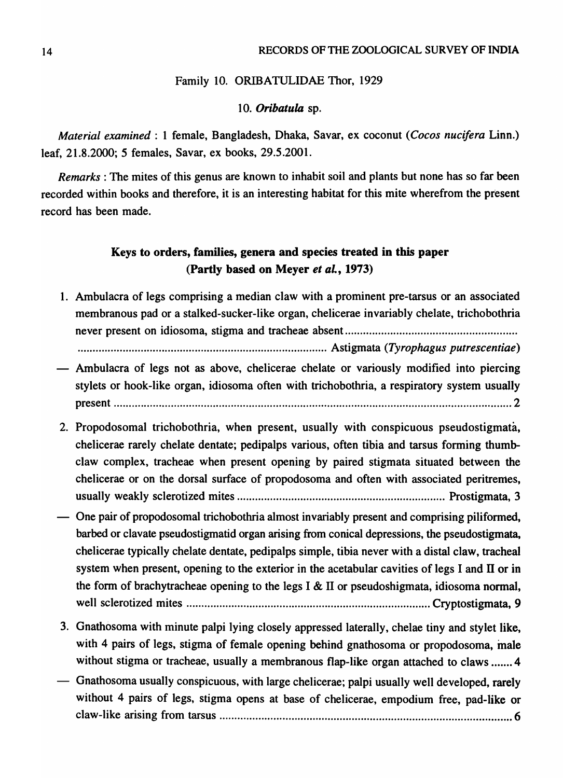### Family 10. ORIBATULIDAE Thor, 1929

### *10. Oribatula* sp.

*Material examined:* 1 female, Bangladesh, Dhaka, Savar, ex coconut *(Cocos nucifera* Linn.) leaf, 21.8.2000; 5 females, Savar, ex books, 29.5.2001.

*Remarks:* The mites of this genus are known to inhabit soil and plants but none has so far been recorded within books and therefore, it is an interesting habitat for this mite wherefrom the present record has been made.

## Keys to orders, families, genera and species treated in this paper (Partly based on Meyer *et al.,* 1973)

1. Ambulacra of legs comprising a median claw with a prominent pre-tarsus or an associated membranous pad or a stalked-sucker-like organ, chelicerae invariably chelate, trichobothria never present on idiosoma, stigma and tracheae absent ........................................................ . ................................................................................... Astigmata *(Tyrophagus putrescentiae)*  Ambulacra of legs not as above, chelicerae chelate or variously modified into piercing stylets or hook-like organ, idiosoma often with trichobothria, a respiratory system usually

present .................................................................................................................................... 2

- 2. Propodosomal trichobothria, when present, usually with conspicuous pseudostigmata, chelicerae rarely chelate dentate; pedipalps various, often tibia and tarsus forming thumbclaw complex, tracheae when present opening by paired stigmata situated between the chelicerae or on the dorsal surface of propodosoma and often with associated peritremes, usually weakly sclerotized mites ..................................................................... Prostigmata, 3
- One pair of propodosomal trichobothria almost invariably present and comprising piliformed, barbed or clavate pseudostigmatid organ arising from conical depressions, the pseudostigmata, chelicerae typically chelate dentate, pedipalps simple, tibia never with a distal claw, tracheal system when present, opening to the exterior in the acetabular cavities of legs I and II or in the form of brachytracheae opening to the legs I  $\&$  II or pseudoshigmata, idiosoma normal, well sclerotized mites ................................................................................. Cryptostigmata, 9
- 3. Gnathosoma with minute palpi lying closely appressed laterally, chelae tiny and stylet like, with 4 pairs of legs, stigma of female opening behind gnathosoma or propodosoma, male without stigma or tracheae, usually a membranous flap-like organ attached to claws ....... 4
- Gnathosoma usually conspicuous, with large chelicerae; palpi usually well developed, rarely without 4 pairs of legs, stigma opens at base of chelicerae, empodium free, pad-like or claw-like arising from tarsus ................................................................................................. 6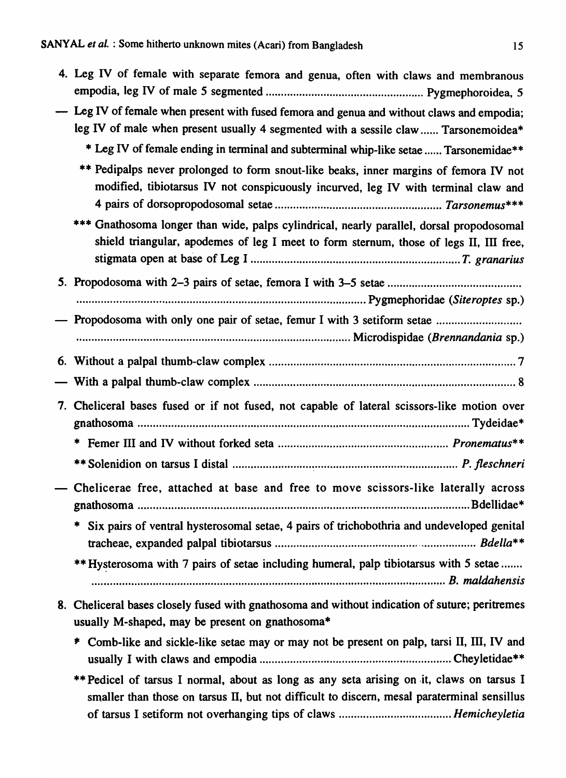|    | 4. Leg IV of female with separate femora and genua, often with claws and membranous                                                                                                |
|----|------------------------------------------------------------------------------------------------------------------------------------------------------------------------------------|
|    | - Leg IV of female when present with fused femora and genua and without claws and empodia;<br>leg IV of male when present usually 4 segmented with a sessile claw  Tarsonemoidea*  |
|    | * Leg IV of female ending in terminal and subterminal whip-like setae  Tarsonemidae**                                                                                              |
|    | ** Pedipalps never prolonged to form snout-like beaks, inner margins of femora IV not<br>modified, tibiotarsus IV not conspicuously incurved, leg IV with terminal claw and        |
|    | *** Gnathosoma longer than wide, palps cylindrical, nearly parallel, dorsal propodosomal<br>shield triangular, apodemes of leg I meet to form sternum, those of legs II, III free, |
|    |                                                                                                                                                                                    |
|    |                                                                                                                                                                                    |
|    | Propodosoma with only one pair of setae, femur I with 3 setiform setae                                                                                                             |
|    |                                                                                                                                                                                    |
| 6. |                                                                                                                                                                                    |
|    |                                                                                                                                                                                    |
|    |                                                                                                                                                                                    |
|    | 7. Cheliceral bases fused or if not fused, not capable of lateral scissors-like motion over                                                                                        |
|    | ∗                                                                                                                                                                                  |
|    |                                                                                                                                                                                    |
|    | - Chelicerae free, attached at base and free to move scissors-like laterally across<br>Bdellidae*                                                                                  |
|    | Six pairs of ventral hysterosomal setae, 4 pairs of trichobothria and undeveloped genital                                                                                          |
|    | ** Hysterosoma with 7 pairs of setae including humeral, palp tibiotarsus with 5 setae                                                                                              |
|    | 8. Cheliceral bases closely fused with gnathosoma and without indication of suture; peritremes<br>usually M-shaped, may be present on gnathosoma*                                  |
|    | Comb-like and sickle-like setae may or may not be present on palp, tarsi II, III, IV and<br>₩.                                                                                     |

\*\* Pedicel of tarsus I normal, about as long as any seta arising on .it, claws on tarsus I smaller than those on tarsus II, but not difficult to discern, mesal paraterminal sensillus of tarsus I setiform not overhanging tips of claws ..................................... *Hemicheyletia*